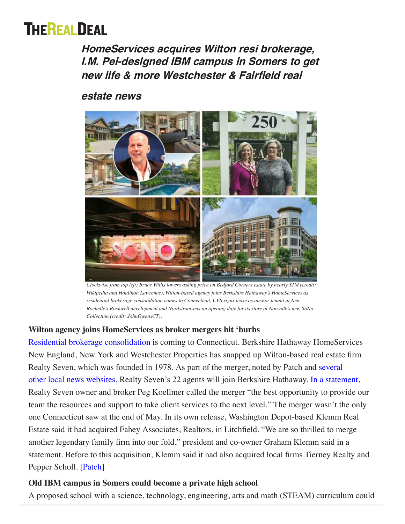# **THEREALDEAL**

**Home[Services ac](https://therealdeal.com/la)[quires Wilto](https://therealdeal.com/miami)[n resi b](https://therealdeal.com/chicago)[rokerag](https://therealdeal.com/national)e, [I.M. Pe](https://therealdeal.com/)i-designed IBM campus in Somers to get new life & more Wes[tchester](https://therealdeal.com/new-research/) & Fair[field](https://therealdeal.com/tag/trd-video/) real** 

## **[e](https://www.linkedin.com/company/therealdeal)state news**



*Clockwise from top left: Bruce Willis lowers asking price on Bedford Corners estate by nearly \$1M (credit: Wikipedia and Houlihan Lawrence), Wilton-based agency joins Berkshire Hathaway's HomeServices as residential brokerage consolidation comes to Connecticut, CVS signs lease as anchor tenant at New Rochelle's Rockwell development and Nordstrom sets an opening date for its store at Norwalk's new SoNo Collection (credit: JohnOwensCT).*

### **Wilton agency joins HomeServices as broker mergers hit 'burbs**

Residential brokerage consolidation is coming to Connecticut. Berkshire Hathaway HomeServices New England, New York and Westchester Properties has snapped up Wilton-based real estate firm [Realty Seven, which was founded in 1978. As part of the merger, noted by Patch and several](https://www.thehour.com/business/article/Berkshire-Hathaway-buys-out-Wilton-agency-13906611.php) other [local news websites,](https://www.wiltonbulletin.com/139803/wiltons-realty-seven-merges-with-berkshire-hathaway/) Realty Seven's 22 agents will join Berkshire Hathaway. [In a statement](https://rismedia.com/2019/05/23/realty-seven-joins-award-winning-berkshire-hathaway-homeservices/), [Realty Seven owner and broker Peg](https://therealdeal.com/la/issues_articles/too-big-to-fail-or-just-too-big/) Koellmer called the merger "the best opportunity to provide our team the resources and support to take client services to the next level." The merger wasn't the only one Connecticut saw at the end of May. In its own release, Washington Depot-based Klemm Real Estate said it had acquired Fahey Associates, Realtors, in Litchfield. "We are so thrilled to merge another legendary family firm into our fold," president and co-owner Graham Klemm said in a statement. Before to this acquisition, Klemm said it had also acquired local firms Tierney Realty and Pepper Scholl. [\[Patch\]](https://patch.com/connecticut/wilton/wiltons-realty-seven-merges-berkshire-hathaway-homeservice)

## **Old IBM campus in Somers could become a private high school**

A proposed school with a science, technology, engineering, arts and math (STEAM) curriculum could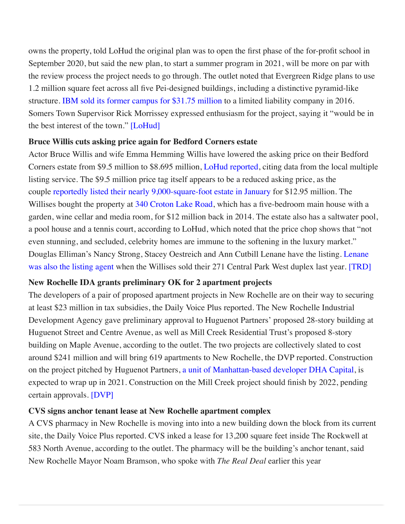[o](https://therealdeal.com/2018/09/26/developers-propose-transforming-somers-ibm-campus-into-a-school/)[wns the pro](https://therealdeal.com/tristate)[perty, told L](https://therealdeal.com/)[oHud the origin](https://therealdeal.com/la)[al plan was to op](https://therealdeal.com/miami)[e](https://therealdeal.com/2018/09/26/developers-propose-transforming-somers-ibm-campus-into-a-school/)[n the first](https://therealdeal.com/chicago) [p](https://therealdeal.com/2018/09/26/developers-propose-transforming-somers-ibm-campus-into-a-school/)[hase of the](https://therealdeal.com/national) [for-pr](https://therealdeal.com/2018/09/26/developers-propose-transforming-somers-ibm-campus-into-a-school/)[ofit schoo](https://therealdeal.com/subscription/)[l in](https://therealdeal.com/#login) [Sep](https://www.facebook.com/therealdealmedia)[te](https://www.twitter.com/trdny)[mbe](https://www.youtube.com/TheRealDealMagazineNewYork)[r 2](https://www.instagram.com/therealdeal)[020](https://www.linkedin.com/company/therealdeal), but said the new plan, to start a summer program in 2021, will be more on par with the review process the project needs to go thro[ugh. The ou](https://therealdeal.com/new-research/)tlet noted [that Ev](https://therealdeal.com/tag/trd-video/)ergreen Ridge plans to use 1.2 million square feet across all five Pei-designed buildings, including a distinctive pyramid-like [s](https://therealdeal.com/newsletter/)tructure. [IBM sold its former campus for \\$31.75 million](https://www.tapinto.net/towns/north-salem/articles/ibm-facility-in-somers-sells-for-nearly-32-milli) to a limited liability company in 2016. Somers Town Supervisor Rick Morrissey expressed enthusiasm for the project, saying it "would be in the best interest of the town." [\[LoHud\]](https://www.lohud.com/story/news/local/westchester/somers/2019/06/04/whats-up-school-proposed-somers-former-ibm-property/3768944002/)

#### **Bruce Willis cuts asking price again for Bedford Corners estate**

Actor Bruce Willis and wife Emma Hemming Willis have lowered the asking price on their Bedford Corners estate from \$9.5 million to \$8.695 million, [LoHud reported,](https://www.lohud.com/story/entertainment/people/suburbarazzi/2019/05/31/bruce-willis-lowers-price-bedford-corner-home-westchester-ny/1289672001/) citing data from the local multiple listing service. The \$9.5 million price tag itself appears to be a reduced asking price, as the couple [reportedly listed their nearly 9,000-square-foot estate in January](https://therealdeal.com/2019/01/21/bruce-willis-looks-to-sell-new-york-country-estate-for-13m/) for \$12.95 million. The Willises bought the property at [340 Croton Lake Road,](https://www.zillow.com/homedetails/340-Croton-Lake-Rd-Mount-Kisco-NY-10549/33008315_zpid/) which has a five-bedroom main house with a garden, wine cellar and media room, for \$12 million back in 2014. The estate also has a saltwater pool, a pool house and a tennis court, according to LoHud, which noted that the price chop shows that "not even stunning, and secluded, celebrity homes are immune to the softening in the luxury market." Douglas Elliman's Nancy Strong, Stacey Oestreich and Ann Cutbill Lenane have the listing. Lenane was also the listing agent when the Willises sold their 271 Central Park West duplex last year. [\[TRD\]](https://therealdeal.com/tristate/2019/06/05/yippee-ki-yay-bruce-willis-again-cuts-ask-for-12m-westchester-estate/)

#### **New Rochelle IDA grants preliminary OK for 2 apartment projects**

[The developers of a pair of proposed apartment projects in New Rochelle are on their way to securin](https://therealdeal.com/2018/01/17/bruce-wills-asking-18m-for-cpw-duplex/)g at least \$23 million in tax subsidies, the Daily Voice Plus reported. The New Rochelle Industrial Development Agency gave preliminary approval to Huguenot Partners' proposed 28-story building at Huguenot Street and Centre Avenue, as well as Mill Creek Residential Trust's proposed 8-story building on Maple Avenue, according to the outlet. The two projects are collectively slated to cost around \$241 million and will bring 619 apartments to New Rochelle, the DVP reported. Construction on the project pitched by Huguenot Partners, [a unit of Manhattan-based developer DHA Capital](https://therealdeal.com/2019/03/07/developer-gets-new-rochelle-ida-incentives-for-91m-resi-project-project/), is expected to wrap up in 2021. Construction on the Mill Creek project should finish by 2022, pending certain approvals. [\[DVP\]](https://dailyvoiceplus.com/westchester/westchester-business-journal/economic-development/new-rochelle-ida-gives-tentative-ok-for-23m-in-tax-subsidies-for-two-apartment-projects/769493/?utm_source=Westchester%20County%20Business%20Journal)

#### **CVS signs anchor tenant lease at New Rochelle apartment complex**

A CVS pharmacy in New Rochelle is moving into into a new building down the block from its current site, the Daily Voice Plus reported. CVS inked a lease for 13,200 square feet inside The Rockwell at 583 North Avenue, according to the outlet. The pharmacy will be the building's anchor tenant, said New Rochelle Mayor Noam Bramson, who spoke with *The Real Deal* earlier this year